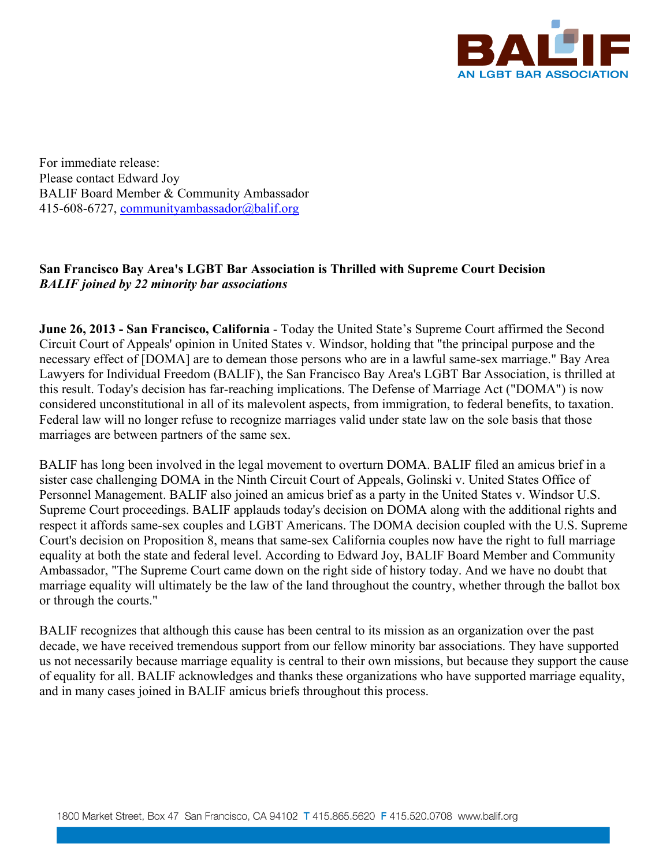

For immediate release: Please contact Edward Joy BALIF Board Member & Community Ambassador 415-608-6727, communityambassador@balif.org

## **San Francisco Bay Area's LGBT Bar Association is Thrilled with Supreme Court Decision** *BALIF joined by 22 minority bar associations*

**June 26, 2013 - San Francisco, California** - Today the United State's Supreme Court affirmed the Second Circuit Court of Appeals' opinion in United States v. Windsor, holding that "the principal purpose and the necessary effect of [DOMA] are to demean those persons who are in a lawful same-sex marriage." Bay Area Lawyers for Individual Freedom (BALIF), the San Francisco Bay Area's LGBT Bar Association, is thrilled at this result. Today's decision has far-reaching implications. The Defense of Marriage Act ("DOMA") is now considered unconstitutional in all of its malevolent aspects, from immigration, to federal benefits, to taxation. Federal law will no longer refuse to recognize marriages valid under state law on the sole basis that those marriages are between partners of the same sex.

BALIF has long been involved in the legal movement to overturn DOMA. BALIF filed an amicus brief in a sister case challenging DOMA in the Ninth Circuit Court of Appeals, Golinski v. United States Office of Personnel Management. BALIF also joined an amicus brief as a party in the United States v. Windsor U.S. Supreme Court proceedings. BALIF applauds today's decision on DOMA along with the additional rights and respect it affords same-sex couples and LGBT Americans. The DOMA decision coupled with the U.S. Supreme Court's decision on Proposition 8, means that same-sex California couples now have the right to full marriage equality at both the state and federal level. According to Edward Joy, BALIF Board Member and Community Ambassador, "The Supreme Court came down on the right side of history today. And we have no doubt that marriage equality will ultimately be the law of the land throughout the country, whether through the ballot box or through the courts."

BALIF recognizes that although this cause has been central to its mission as an organization over the past decade, we have received tremendous support from our fellow minority bar associations. They have supported us not necessarily because marriage equality is central to their own missions, but because they support the cause of equality for all. BALIF acknowledges and thanks these organizations who have supported marriage equality, and in many cases joined in BALIF amicus briefs throughout this process.